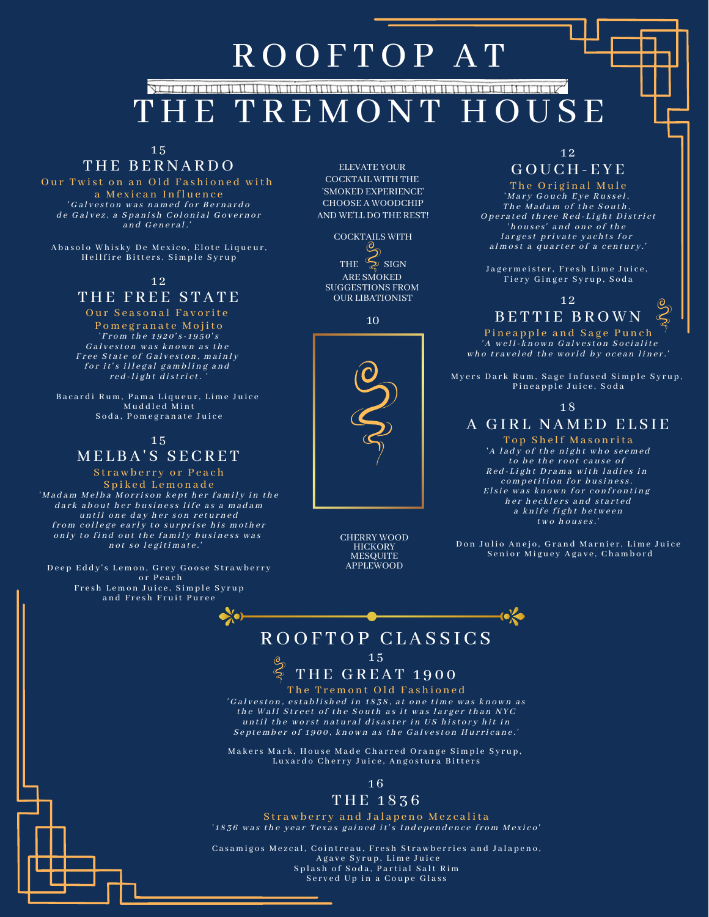# ROOFTOP AT

# IE TREMONT HOUSE

1 5

# THE BERNARDO

Our Twist on an Old Fashioned with a Mexican Influence 'Galveston was named for Bernardo de Galvez, a Spanish Colonial Governor and General.

Abasolo Whisky De Mexico, Elote Liqueur, Hellfire Bitters, Simple Syrup

## 1 2

# THE FREE STATE

Our Seasonal Favorite Pomegranate Mojito From the  $1920's - 1950's$ Galveston was known as the Free State of Galveston, mainly for it's illegal gambling and  $red$ -light district.

Bacardi Rum, Pama Liqueur, Lime Juice Muddled Mint Soda, Pomegranate Juice

# 1 5 MELBA'S SECRET

Strawberry or Peach Spiked Lemonade 'Madam Melba Morrison kept her family in the d a r k a b o u t h e r b u sin e s s life a s a mad a m until one day her son returned from college early to surprise his mother only to find out the family business was not so legitimate.'

Deep Eddy's Lemon, Grey Goose Strawberry or Peach Fresh Lemon Juice, Simple Syrup and Fresh Fruit Puree

 $\bullet$   $\bullet$ 

ELEVATE YOUR COCKTAIL WITH THE 'SMOKED EXPERIENCE' CHOOSE A WOODCHIP AND WE'LL DO THE REST!

COCKTAILS WITH THE  $\sum_{n=1}^{\infty}$  SIGN ARE SMOKED SUGGESTIONS FROM OUR LIBATIONIST

10



CHERRY WOOD **HICKORY MESQUITE** APPLEWOOD

### 1 2 GOU C H - E Y E

The Original Mule ' Mary Gouch Eye Russel, The Madam of the South, Operated three Red-Light District 'h ouses' and one of the l argest private y achts for almost a quarter of a century.'

Jagermeister, Fresh Lime Juice, Fiery Ginger Syrup, Soda

1 2  $\circledcirc$  $\mathcal{Z}$ B E T T I E B RO W N

Pineapple and Sage Punch 'A well-known Galveston Socialite who traveled the world by ocean liner.'

Myers Dark Rum, Sage Infused Simple Syrup, Pineapple Juice, Soda

#### 1 8

## A GIRL NAMED ELSIE

Top Shelf Masonrita 'A lady of the night who seemed to be the root cause of Red-Light Drama with ladies in competition for business. Elsie was known for confronting h er h e cklers and started a knife fight between  $two \; hourses.'$ 

Don Julio Anejo, Grand Marnier, Lime Juice Senior Miguey Agave, Chambord

## ROOFTOP CLASSICS  $15$

# THE GREAT 1900

The Tremont Old Fashioned 'Galveston, established in 1838, at one time was known as the Wall Street of the South as it was larger than NYC until the worst natural disaster in US history hit in September of 1900, known as the Galveston Hurricane.'

Makers Mark, House Made Charred Orange Simple Syrup, Luxardo Cherry Juice, Angostura Bitters

### 1 6

## T H E 1 8 3 6

Strawberry and Jalapeno Mezcalita '1836 was the year Texas gained it's Independence from Mexico'

Casamigos Mezcal, Cointreau, Fresh Strawberries and Jalapeno, Agave Syrup, Lime Juice Splash of Soda, Partial Salt Rim Served Up in a Coupe Glass